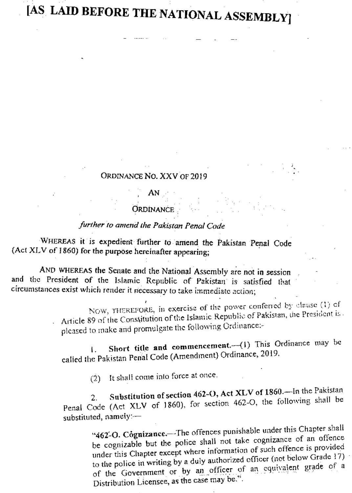# [AS LAID BEFORE THE NATIONAL ASSEMBLY]

#### ORDINANCE NO. XXV OF 2019

# AN

#### **ORDINANCE**

## further to amend the Pakistan Penal Code

WHEREAS it is expedient further to amend the Pakistan Penal Code (Act XLV of 1860) for the purpose hereinafter appearing;

AND WHEREAS the Senate and the National Assembly are not in session and the President of the Islamic Republic of Pakistan is satisfied that circumstances exist which render it necessary to take immediate action;

> NOW, THEREFORE, in exercise of the power conferred by clause (1) of Article 89 of the Constitution of the Islamic Republic of Pakistan, the President is. pleased to make and promulgate the following Ordinance:-

Short title and commencement.-(1) This Ordinance may be Ł. called the Pakistan Penal Code (Amendment) Ordinance, 2019.

(2) It shall come into force at once.

Substitution of section 462-O, Act XLV of 1860.—In the Pakistan Penal Code (Act XLV of 1860), for section 462-O, the following shall be substituted, namely:-

"462-O. Cognizance.--The offences punishable under this Chapter shall be cognizable but the police shall not take cognizance of an offence under this Chapter except where information of such offence is provided to the police in writing by a duly authorized officer (not below Grade 17) of the Government or by an officer of an equivalent grade of a Distribution Licensee, as the case may be.".